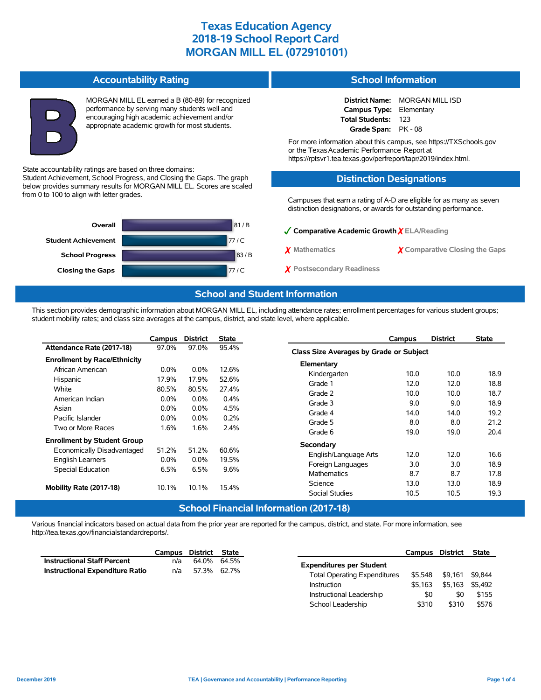#### **Accountability Rating**

Student Achievement, School Progress, and Closing the Gaps. The graph below provides summary results for MORGAN MILL EL. Scores are scaled

**Closing the Gaps 177 / C** 

State accountability ratings are based on three domains:

**Overall**

from 0 to 100 to align with letter grades.

**School Progress Student Achievement**

MORGAN MILL EL earned a B (80-89) for recognized performance by serving many students well and encouraging high academic achievement and/or appropriate academic growth for most students.

## **School Information**

**District Name:** MORGAN MILL ISD **Campus Type:** Elementary **Total Students:** 123 **Grade Span:** PK - 08

For more information about this campus, see https://TXSchools.gov or the Texas Academic Performance Report at https://rptsvr1.tea.texas.gov/perfreport/tapr/2019/index.html.

### **Distinction Designations**

Campuses that earn a rating of A-D are eligible for as many as seven distinction designations, or awards for outstanding performance.

| $\sqrt{\ }$ Comparative Academic Growth $\chi$ ELA/Reading |                                     |  |  |  |  |  |  |
|------------------------------------------------------------|-------------------------------------|--|--|--|--|--|--|
| X Mathematics                                              | $\chi$ Comparative Closing the Gaps |  |  |  |  |  |  |
| Y Postsecondary Readiness                                  |                                     |  |  |  |  |  |  |

### **School and Student Information**

81 / B 77 / C 83 / B

This section provides demographic information about MORGAN MILL EL, including attendance rates; enrollment percentages for various student groups; student mobility rates; and class size averages at the campus, district, and state level, where applicable.

|                                     | Campus  | <b>District</b> | <b>State</b> | Campus                                  | <b>District</b> | <b>State</b> |
|-------------------------------------|---------|-----------------|--------------|-----------------------------------------|-----------------|--------------|
| Attendance Rate (2017-18)           | 97.0%   | 97.0%           | 95.4%        | Class Size Averages by Grade or Subject |                 |              |
| <b>Enrollment by Race/Ethnicity</b> |         |                 |              | Elementary                              |                 |              |
| African American                    | $0.0\%$ | $0.0\%$         | 12.6%        | Kindergarten<br>10.0                    | 10.0            | 18.9         |
| Hispanic                            | 17.9%   | 17.9%           | 52.6%        | Grade 1<br>12.0                         | 12.0            | 18.8         |
| White                               | 80.5%   | 80.5%           | 27.4%        | Grade 2<br>10.0                         | 10.0            | 18.7         |
| American Indian                     | $0.0\%$ | $0.0\%$         | 0.4%         | 9.0<br>Grade 3                          | 9.0             | 18.9         |
| Asian                               | $0.0\%$ | $0.0\%$         | 4.5%         | Grade 4<br>14.0                         | 14.0            | 19.2         |
| Pacific Islander                    | $0.0\%$ | $0.0\%$         | 0.2%         | 8.0<br>Grade 5                          | 8.0             | 21.2         |
| Two or More Races                   | 1.6%    | 1.6%            | 2.4%         | Grade 6<br>19.0                         | 19.0            | 20.4         |
| <b>Enrollment by Student Group</b>  |         |                 |              | <b>Secondary</b>                        |                 |              |
| Economically Disadvantaged          | 51.2%   | 51.2%           | 60.6%        | English/Language Arts<br>12.0           | 12.0            | 16.6         |
| <b>English Learners</b>             | $0.0\%$ | $0.0\%$         | 19.5%        | 3.0<br>Foreign Languages                | 3.0             | 18.9         |
| <b>Special Education</b>            | 6.5%    | 6.5%            | 9.6%         | 8.7<br><b>Mathematics</b>               | 8.7             | 17.8         |
|                                     |         |                 |              | Science<br>13.0                         | 13.0            | 18.9         |
| Mobility Rate (2017-18)             | 10.1%   | 10.1%           | 15.4%        | Social Studies<br>10.5                  | 10.5            | 19.3         |

#### **School Financial Information (2017-18)**

Various financial indicators based on actual data from the prior year are reported for the campus, district, and state. For more information, see http://tea.texas.gov/financialstandardreports/.

|                                        | Campus District State |             |  |
|----------------------------------------|-----------------------|-------------|--|
| <b>Instructional Staff Percent</b>     | n/a                   | 64.0% 64.5% |  |
| <b>Instructional Expenditure Ratio</b> | n/a                   | 57.3% 62.7% |  |

|                                     | Campus District |         | State   |
|-------------------------------------|-----------------|---------|---------|
| <b>Expenditures per Student</b>     |                 |         |         |
| <b>Total Operating Expenditures</b> | \$5.548         | \$9.161 | \$9.844 |
| Instruction                         | \$5.163         | \$5.163 | \$5.492 |
| Instructional Leadership            | \$0             | \$0     | \$155   |
| School Leadership                   | \$310           | \$310   | \$576   |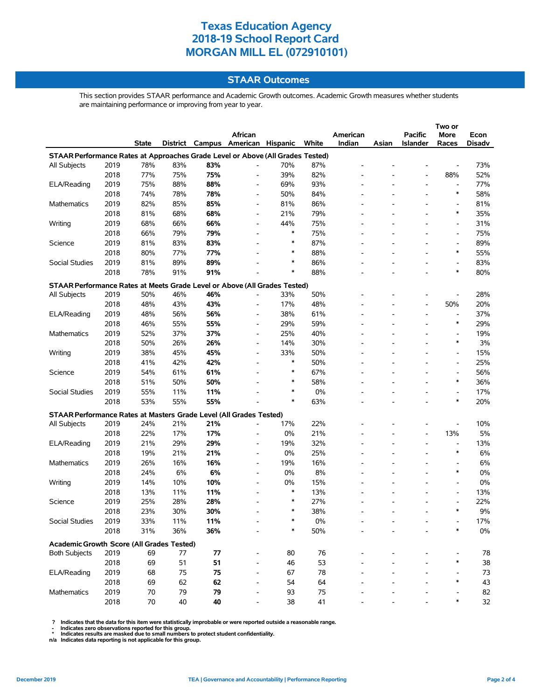### **STAAR Outcomes**

This section provides STAAR performance and Academic Growth outcomes. Academic Growth measures whether students are maintaining performance or improving from year to year.

|                                                                                |      |              |     |     | African                           |        |       | American |       | Pacific                  | More                               | Econ     |
|--------------------------------------------------------------------------------|------|--------------|-----|-----|-----------------------------------|--------|-------|----------|-------|--------------------------|------------------------------------|----------|
|                                                                                |      | <b>State</b> |     |     | District Campus American Hispanic |        | White | Indian   | Asian | <b>Islander</b>          | Races                              | Disadv   |
| STAAR Performance Rates at Approaches Grade Level or Above (All Grades Tested) |      |              |     |     |                                   |        |       |          |       |                          |                                    |          |
| All Subjects                                                                   | 2019 | 78%          | 83% | 83% |                                   | 70%    | 87%   |          |       |                          |                                    | 73%      |
|                                                                                | 2018 | 77%          | 75% | 75% | $\overline{\phantom{a}}$          | 39%    | 82%   |          |       |                          | 88%                                | 52%      |
| ELA/Reading                                                                    | 2019 | 75%          | 88% | 88% | $\overline{\phantom{a}}$          | 69%    | 93%   |          |       | $\overline{\phantom{a}}$ | $\overline{a}$                     | 77%      |
|                                                                                | 2018 | 74%          | 78% | 78% | $\overline{\phantom{a}}$          | 50%    | 84%   |          |       |                          | *                                  | 58%      |
| Mathematics                                                                    | 2019 | 82%          | 85% | 85% | $\overline{\phantom{a}}$          | 81%    | 86%   |          |       |                          |                                    | 81%      |
|                                                                                | 2018 | 81%          | 68% | 68% | $\overline{\phantom{a}}$          | 21%    | 79%   |          |       |                          | *                                  | 35%      |
| Writing                                                                        | 2019 | 68%          | 66% | 66% | $\overline{a}$                    | 44%    | 75%   |          |       |                          |                                    | 31%      |
|                                                                                | 2018 | 66%          | 79% | 79% |                                   | $\ast$ | 75%   |          |       |                          | $\overline{\phantom{a}}$           | 75%      |
| Science                                                                        | 2019 | 81%          | 83% | 83% |                                   | $\ast$ | 87%   |          |       |                          | $\overline{\phantom{a}}$           | 89%      |
|                                                                                | 2018 | 80%          | 77% | 77% |                                   | $\ast$ | 88%   |          |       |                          | ∗                                  | 55%      |
| Social Studies                                                                 | 2019 | 81%          | 89% | 89% |                                   | $\ast$ | 86%   |          |       |                          | $\overline{\phantom{a}}$           | 83%      |
|                                                                                | 2018 | 78%          | 91% | 91% |                                   | $\ast$ | 88%   |          |       |                          | *                                  | 80%      |
|                                                                                |      |              |     |     |                                   |        |       |          |       |                          |                                    |          |
| STAAR Performance Rates at Meets Grade Level or Above (All Grades Tested)      |      |              |     |     |                                   |        |       |          |       |                          |                                    |          |
| All Subjects                                                                   | 2019 | 50%          | 46% | 46% | $\overline{a}$                    | 33%    | 50%   |          |       |                          | 50%                                | 28%      |
|                                                                                | 2018 | 48%          | 43% | 43% | $\overline{\phantom{a}}$          | 17%    | 48%   |          |       |                          |                                    | 20%      |
| <b>ELA/Reading</b>                                                             | 2019 | 48%          | 56% | 56% | $\overline{\phantom{a}}$          | 38%    | 61%   |          |       |                          | $\overline{\phantom{a}}$<br>$\ast$ | 37%      |
|                                                                                | 2018 | 46%          | 55% | 55% | $\overline{\phantom{a}}$          | 29%    | 59%   |          |       |                          |                                    | 29%      |
| Mathematics                                                                    | 2019 | 52%          | 37% | 37% | $\overline{\phantom{a}}$          | 25%    | 40%   |          |       |                          | *                                  | 19%      |
|                                                                                | 2018 | 50%          | 26% | 26% | $\overline{\phantom{a}}$          | 14%    | 30%   |          |       |                          |                                    | 3%       |
| Writing                                                                        | 2019 | 38%          | 45% | 45% | $\overline{a}$                    | 33%    | 50%   |          |       |                          | $\overline{\phantom{a}}$           | 15%      |
|                                                                                | 2018 | 41%          | 42% | 42% |                                   | $\ast$ | 50%   |          |       |                          |                                    | 25%      |
| Science                                                                        | 2019 | 54%          | 61% | 61% |                                   | $\ast$ | 67%   |          |       |                          |                                    | 56%      |
|                                                                                | 2018 | 51%          | 50% | 50% |                                   | $\ast$ | 58%   |          |       |                          | $\ast$                             | 36%      |
| Social Studies                                                                 | 2019 | 55%          | 11% | 11% |                                   | $\ast$ | 0%    |          |       |                          |                                    | 17%      |
|                                                                                | 2018 | 53%          | 55% | 55% |                                   | $\ast$ | 63%   |          |       |                          | $\ast$                             | 20%      |
| STAAR Performance Rates at Masters Grade Level (All Grades Tested)             |      |              |     |     |                                   |        |       |          |       |                          |                                    |          |
| All Subjects                                                                   | 2019 | 24%          | 21% | 21% | $\overline{a}$                    | 17%    | 22%   |          |       |                          |                                    | 10%      |
|                                                                                | 2018 | 22%          | 17% | 17% | $\overline{\phantom{a}}$          | 0%     | 21%   |          |       | $\overline{\phantom{a}}$ | 13%                                | 5%       |
| ELA/Reading                                                                    | 2019 | 21%          | 29% | 29% | $\overline{a}$                    | 19%    | 32%   |          |       |                          | $\overline{a}$                     | 13%      |
|                                                                                | 2018 | 19%          | 21% | 21% | $\overline{\phantom{a}}$          | 0%     | 25%   |          |       |                          | ∗                                  | 6%       |
| Mathematics                                                                    | 2019 | 26%          | 16% | 16% | $\overline{\phantom{a}}$          | 19%    | 16%   |          |       |                          |                                    | 6%       |
|                                                                                | 2018 | 24%          | 6%  | 6%  | $\overline{\phantom{a}}$          | 0%     | 8%    |          |       |                          | *                                  | $0\%$    |
| Writing                                                                        | 2019 | 14%          | 10% | 10% | $\overline{\phantom{a}}$          | 0%     | 15%   |          |       |                          | $\overline{a}$                     | $0\%$    |
|                                                                                | 2018 | 13%          | 11% | 11% | $\overline{\phantom{a}}$          | $\ast$ | 13%   |          |       |                          | $\overline{\phantom{a}}$           | 13%      |
| Science                                                                        | 2019 | 25%          | 28% | 28% |                                   | *      | 27%   |          |       |                          |                                    | 22%      |
|                                                                                | 2018 | 23%          | 30% | 30% |                                   | $\ast$ | 38%   |          |       |                          | $\ast$                             | 9%       |
| Social Studies                                                                 | 2019 | 33%          | 11% | 11% |                                   |        | $0\%$ |          |       |                          |                                    | 17%      |
|                                                                                | 2018 | 31%          | 36% | 36% |                                   | ∗      | 50%   |          |       |                          | $\ast$                             | $0\%$    |
|                                                                                |      |              |     |     |                                   |        |       |          |       |                          |                                    |          |
| Academic Growth Score (All Grades Tested)<br><b>Both Subjects</b>              | 2019 | 69           | 77  | 77  |                                   | 80     | 76    |          |       |                          |                                    | 78       |
|                                                                                | 2018 | 69           | 51  | 51  |                                   | 46     | 53    |          |       |                          | *                                  | 38       |
| ELA/Reading                                                                    | 2019 | 68           | 75  | 75  | $\overline{a}$                    | 67     | 78    |          |       |                          |                                    | 73       |
|                                                                                | 2018 | 69           | 62  | 62  | $\overline{a}$                    | 54     | 64    |          |       |                          | *                                  | 43       |
| <b>Mathematics</b>                                                             | 2019 | 70           | 79  | 79  |                                   | 93     |       |          |       |                          |                                    |          |
|                                                                                |      |              |     |     |                                   |        | 75    |          |       |                          |                                    | 82<br>32 |
|                                                                                | 2018 | 70           | 40  | 40  |                                   | 38     | 41    |          |       |                          |                                    |          |

? Indicates that the data for this item were statistically improbable or were reported outside a reasonable range.<br>- Indicates zero observations reported for this group.<br>\* Indicates results are masked due to small numbers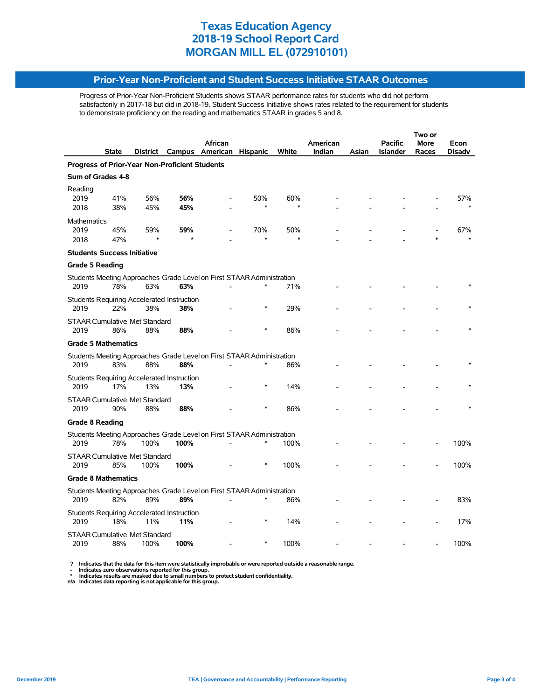### **Prior-Year Non-Proficient and Student Success Initiative STAAR Outcomes**

Progress of Prior-Year Non-Proficient Students shows STAAR performance rates for students who did not perform satisfactorily in 2017-18 but did in 2018-19. Student Success Initiative shows rates related to the requirement for students to demonstrate proficiency on the reading and mathematics STAAR in grades 5 and 8.

|                            |                                      |            |                                                   |                                                                       |                 |               |          |       | Two or          |       |        |  |
|----------------------------|--------------------------------------|------------|---------------------------------------------------|-----------------------------------------------------------------------|-----------------|---------------|----------|-------|-----------------|-------|--------|--|
|                            |                                      |            |                                                   | African                                                               |                 |               | American |       | <b>Pacific</b>  | More  | Econ   |  |
|                            | <b>State</b>                         |            |                                                   | District Campus American                                              | <b>Hispanic</b> | White         | Indian   | Asian | <b>Islander</b> | Races | Disadv |  |
|                            |                                      |            | Progress of Prior-Year Non-Proficient Students    |                                                                       |                 |               |          |       |                 |       |        |  |
| Sum of Grades 4-8          |                                      |            |                                                   |                                                                       |                 |               |          |       |                 |       |        |  |
| Reading                    |                                      |            |                                                   |                                                                       |                 |               |          |       |                 |       |        |  |
| 2019<br>2018               | 41%<br>38%                           | 56%<br>45% | 56%<br>45%                                        |                                                                       | 50%<br>$\ast$   | 60%<br>$\ast$ |          |       |                 |       | 57%    |  |
|                            |                                      |            |                                                   |                                                                       |                 |               |          |       |                 |       |        |  |
| <b>Mathematics</b><br>2019 | 45%                                  | 59%        | 59%                                               |                                                                       | 70%             | 50%           |          |       |                 |       | 67%    |  |
| 2018                       | 47%                                  | $\ast$     |                                                   |                                                                       | $\ast$          |               |          |       |                 |       |        |  |
|                            | <b>Students Success Initiative</b>   |            |                                                   |                                                                       |                 |               |          |       |                 |       |        |  |
|                            |                                      |            |                                                   |                                                                       |                 |               |          |       |                 |       |        |  |
| <b>Grade 5 Reading</b>     |                                      |            |                                                   |                                                                       |                 |               |          |       |                 |       |        |  |
| 2019                       | 78%                                  | 63%        | 63%                                               | Students Meeting Approaches Grade Level on First STAAR Administration | $\ast$          | 71%           |          |       |                 |       |        |  |
|                            |                                      |            |                                                   |                                                                       |                 |               |          |       |                 |       |        |  |
| 2019                       | 22%                                  | 38%        | Students Requiring Accelerated Instruction<br>38% |                                                                       | $\ast$          | 29%           |          |       |                 |       |        |  |
|                            | <b>STAAR Cumulative Met Standard</b> |            |                                                   |                                                                       |                 |               |          |       |                 |       |        |  |
| 2019                       | 86%                                  | 88%        | 88%                                               |                                                                       |                 | 86%           |          |       |                 |       |        |  |
|                            | <b>Grade 5 Mathematics</b>           |            |                                                   |                                                                       |                 |               |          |       |                 |       |        |  |
|                            |                                      |            |                                                   | Students Meeting Approaches Grade Level on First STAAR Administration |                 |               |          |       |                 |       |        |  |
| 2019                       | 83%                                  | 88%        | 88%                                               |                                                                       | $\ast$          | 86%           |          |       |                 |       |        |  |
|                            |                                      |            | Students Requiring Accelerated Instruction        |                                                                       |                 |               |          |       |                 |       |        |  |
| 2019                       | 17%                                  | 13%        | 13%                                               |                                                                       | $\ast$          | 14%           |          |       |                 |       |        |  |
|                            | <b>STAAR Cumulative Met Standard</b> |            |                                                   |                                                                       |                 |               |          |       |                 |       |        |  |
| 2019                       | 90%                                  | 88%        | 88%                                               |                                                                       |                 | 86%           |          |       |                 |       |        |  |
| <b>Grade 8 Reading</b>     |                                      |            |                                                   |                                                                       |                 |               |          |       |                 |       |        |  |
|                            |                                      |            |                                                   | Students Meeting Approaches Grade Level on First STAAR Administration |                 |               |          |       |                 |       |        |  |
| 2019                       | 78%                                  | 100%       | 100%                                              |                                                                       | $\ast$          | 100%          |          |       |                 |       | 100%   |  |
|                            | <b>STAAR Cumulative Met Standard</b> |            |                                                   |                                                                       |                 |               |          |       |                 |       |        |  |
| 2019                       | 85%                                  | 100%       | 100%                                              |                                                                       | $\ast$          | 100%          |          |       |                 |       | 100%   |  |
|                            | <b>Grade 8 Mathematics</b>           |            |                                                   |                                                                       |                 |               |          |       |                 |       |        |  |
|                            |                                      |            |                                                   | Students Meeting Approaches Grade Level on First STAAR Administration |                 |               |          |       |                 |       |        |  |
| 2019                       | 82%                                  | 89%        | 89%                                               |                                                                       | $\ast$          | 86%           |          |       |                 |       | 83%    |  |
|                            |                                      |            | Students Requiring Accelerated Instruction        |                                                                       |                 |               |          |       |                 |       |        |  |
| 2019                       | 18%                                  | 11%        | 11%                                               |                                                                       | $\ast$          | 14%           |          |       |                 |       | 17%    |  |
|                            | <b>STAAR Cumulative Met Standard</b> |            |                                                   |                                                                       |                 |               |          |       |                 |       |        |  |
| 2019                       | 88%                                  | 100%       | 100%                                              |                                                                       | $\ast$          | 100%          |          |       |                 |       | 100%   |  |

? Indicates that the data for this item were statistically improbable or were reported outside a reasonable range.<br>- Indicates zero observations reported for this group.<br>\* Indicates results are masked due to small numbers